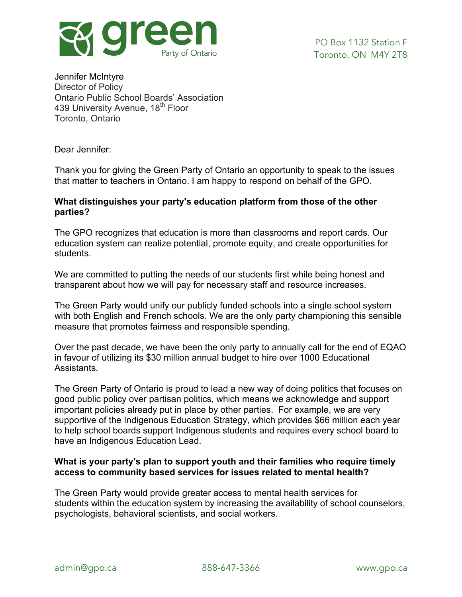

Jennifer McIntyre Director of Policy Ontario Public School Boards' Association 439 University Avenue, 18<sup>th</sup> Floor Toronto, Ontario

Dear Jennifer:

Thank you for giving the Green Party of Ontario an opportunity to speak to the issues that matter to teachers in Ontario. I am happy to respond on behalf of the GPO.

## **What distinguishes your party's education platform from those of the other parties?**

The GPO recognizes that education is more than classrooms and report cards. Our education system can realize potential, promote equity, and create opportunities for students.

We are committed to putting the needs of our students first while being honest and transparent about how we will pay for necessary staff and resource increases.

The Green Party would unify our publicly funded schools into a single school system with both English and French schools. We are the only party championing this sensible measure that promotes fairness and responsible spending.

Over the past decade, we have been the only party to annually call for the end of EQAO in favour of utilizing its \$30 million annual budget to hire over 1000 Educational Assistants.

The Green Party of Ontario is proud to lead a new way of doing politics that focuses on good public policy over partisan politics, which means we acknowledge and support important policies already put in place by other parties. For example, we are very supportive of the Indigenous Education Strategy, which provides \$66 million each year to help school boards support Indigenous students and requires every school board to have an Indigenous Education Lead.

# **What is your party's plan to support youth and their families who require timely access to community based services for issues related to mental health?**

The Green Party would provide greater access to mental health services for students within the education system by increasing the availability of school counselors, psychologists, behavioral scientists, and social workers.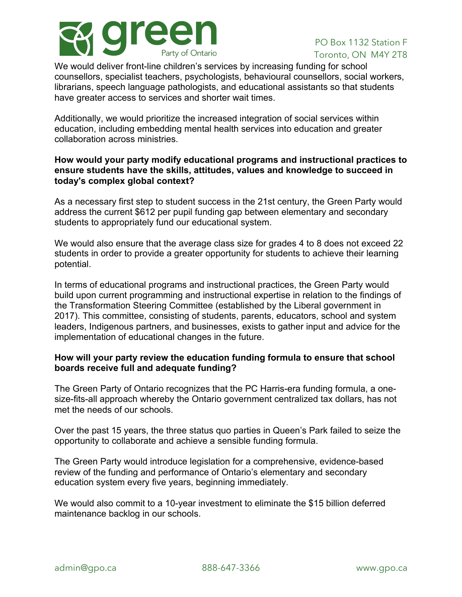

We would deliver front-line children's services by increasing funding for school counsellors, specialist teachers, psychologists, behavioural counsellors, social workers, librarians, speech language pathologists, and educational assistants so that students have greater access to services and shorter wait times.

Additionally, we would prioritize the increased integration of social services within education, including embedding mental health services into education and greater collaboration across ministries.

## **How would your party modify educational programs and instructional practices to ensure students have the skills, attitudes, values and knowledge to succeed in today's complex global context?**

As a necessary first step to student success in the 21st century, the Green Party would address the current \$612 per pupil funding gap between elementary and secondary students to appropriately fund our educational system.

We would also ensure that the average class size for grades 4 to 8 does not exceed 22 students in order to provide a greater opportunity for students to achieve their learning potential.

In terms of educational programs and instructional practices, the Green Party would build upon current programming and instructional expertise in relation to the findings of the Transformation Steering Committee (established by the Liberal government in 2017). This committee, consisting of students, parents, educators, school and system leaders, Indigenous partners, and businesses, exists to gather input and advice for the implementation of educational changes in the future.

# **How will your party review the education funding formula to ensure that school boards receive full and adequate funding?**

The Green Party of Ontario recognizes that the PC Harris-era funding formula, a onesize-fits-all approach whereby the Ontario government centralized tax dollars, has not met the needs of our schools.

Over the past 15 years, the three status quo parties in Queen's Park failed to seize the opportunity to collaborate and achieve a sensible funding formula.

The Green Party would introduce legislation for a comprehensive, evidence-based review of the funding and performance of Ontario's elementary and secondary education system every five years, beginning immediately.

We would also commit to a 10-year investment to eliminate the \$15 billion deferred maintenance backlog in our schools.